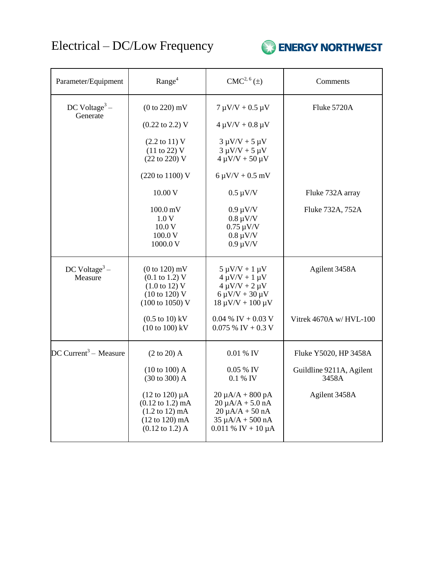## Electrical – DC/Low Frequency



| Parameter/Equipment                   | Range <sup>4</sup>                                                                                                                                                          | CMC <sup>2, 6</sup> (±)                                                                                                       | Comments                          |
|---------------------------------------|-----------------------------------------------------------------------------------------------------------------------------------------------------------------------------|-------------------------------------------------------------------------------------------------------------------------------|-----------------------------------|
| DC Voltage <sup>3</sup> –<br>Generate | $(0 to 220)$ mV                                                                                                                                                             | $7 \mu V/V + 0.5 \mu V$                                                                                                       | Fluke 5720A                       |
|                                       | $(0.22 \text{ to } 2.2) \text{ V}$                                                                                                                                          | $4 \mu V/V + 0.8 \mu V$                                                                                                       |                                   |
|                                       | $(2.2 \text{ to } 11) \text{ V}$<br>(11 to 22) V<br>(22 to 220) V                                                                                                           | $3 \mu V/V + 5 \mu V$<br>$3 \mu V/V + 5 \mu V$<br>$4 \mu V/V + 50 \mu V$                                                      |                                   |
|                                       | (220 to 1100) V                                                                                                                                                             | $6 \mu V/V + 0.5 \ mV$                                                                                                        |                                   |
|                                       | 10.00 V                                                                                                                                                                     | $0.5 \mu V/V$                                                                                                                 | Fluke 732A array                  |
|                                       | $100.0 \,\mathrm{mV}$<br>1.0V<br>10.0V<br>100.0 V<br>1000.0 V                                                                                                               | $0.9 \mu V/V$<br>$0.8 \mu V/V$<br>$0.75 \mu V/V$<br>$0.8 \mu V/V$<br>$0.9 \mu V/V$                                            | Fluke 732A, 752A                  |
| DC Voltage <sup>3</sup> –<br>Measure  | $(0 to 120)$ mV<br>$(0.1 \text{ to } 1.2) \text{ V}$<br>$(1.0 \text{ to } 12) \text{ V}$<br>(10 to 120) V<br>$(100 \text{ to } 1050) \text{ V}$                             | $5 \mu V/V + 1 \mu V$<br>$4 \mu V/V + 1 \mu V$<br>$4 \mu V/V + 2 \mu V$<br>$6 \mu V/V + 30 \mu V$<br>$18 \mu V/V + 100 \mu V$ | Agilent 3458A                     |
|                                       | $(0.5 \text{ to } 10) \text{ kV}$<br>$(10 to 100)$ kV                                                                                                                       | $0.04\%$ IV + 0.03 V<br>$0.075\%$ IV + 0.3 V                                                                                  | Vitrek 4670A w/HVL-100            |
| $DC$ Current <sup>3</sup> – Measure   | $(2 \text{ to } 20)$ A                                                                                                                                                      | 0.01 % IV                                                                                                                     | Fluke Y5020, HP 3458A             |
|                                       | $(10 to 100)$ A<br>(30 to 300) A                                                                                                                                            | 0.05 % IV<br>0.1 % IV                                                                                                         | Guildline 9211A, Agilent<br>3458A |
|                                       | $(12 \text{ to } 120) \mu A$<br>$(0.12 \text{ to } 1.2) \text{ mA}$<br>$(1.2 \text{ to } 12) \text{ mA}$<br>$(12 \text{ to } 120) \text{ mA}$<br>$(0.12 \text{ to } 1.2)$ A | $20 \mu A/A + 800 pA$<br>$20 \mu A/A + 5.0 nA$<br>$20 \mu A/A + 50 nA$<br>$35 \mu A/A + 500 nA$<br>$0.011 \%$ IV + 10 µA      | Agilent 3458A                     |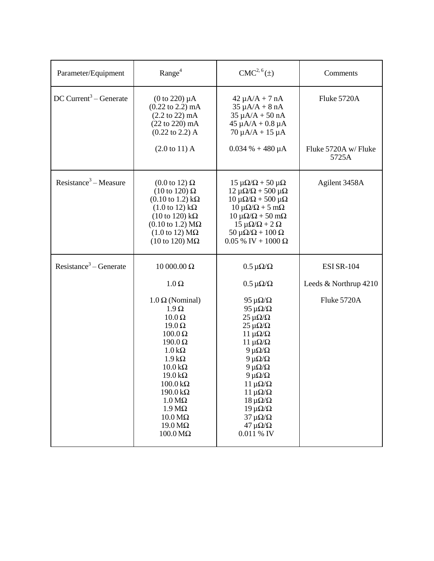| Parameter/Equipment                | Range <sup>4</sup>                                                                                                                                                                                                                                                                                                                                                                                                           | $CMC2, 6(\pm)$                                                                                                                                                                                                                                                                                                                                                                                                                  | Comments                                                  |
|------------------------------------|------------------------------------------------------------------------------------------------------------------------------------------------------------------------------------------------------------------------------------------------------------------------------------------------------------------------------------------------------------------------------------------------------------------------------|---------------------------------------------------------------------------------------------------------------------------------------------------------------------------------------------------------------------------------------------------------------------------------------------------------------------------------------------------------------------------------------------------------------------------------|-----------------------------------------------------------|
| DC Current <sup>3</sup> – Generate | $(0 to 220) \mu A$<br>$(0.22 \text{ to } 2.2) \text{ mA}$<br>$(2.2 \text{ to } 22) \text{ mA}$<br>$(22 to 220)$ mA<br>$(0.22 \text{ to } 2.2)$ A<br>$(2.0 \text{ to } 11)$ A                                                                                                                                                                                                                                                 | $42 \mu A/A + 7 nA$<br>$35 \mu A/A + 8 nA$<br>$35 \mu A/A + 50 nA$<br>$45 \mu A/A + 0.8 \mu A$<br>$70 \mu A/A + 15 \mu A$<br>$0.034 % + 480 \mu A$                                                                                                                                                                                                                                                                              | Fluke 5720A<br>Fluke 5720A w/ Fluke<br>5725A              |
| Resistance <sup>3</sup> – Measure  | $(0.0 \text{ to } 12) \Omega$<br>$(10 \text{ to } 120) \Omega$<br>$(0.10 \text{ to } 1.2) \text{ k}\Omega$<br>$(1.0 \text{ to } 12) \text{ k}\Omega$<br>$(10 \text{ to } 120) \text{ k}\Omega$<br>$(0.10 \text{ to } 1.2) \text{ M}\Omega$<br>$(1.0 \text{ to } 12) \text{ M}\Omega$<br>(10 to 120) $M\Omega$                                                                                                                | $15 \mu\Omega/\Omega + 50 \mu\Omega$<br>$12 \mu\Omega/\Omega$ + 500 μ $\Omega$<br>$10 \mu\Omega/\Omega$ + 500 μ $\Omega$<br>$10 \mu\Omega/\Omega + 5 \text{ mA}$<br>$10 \mu\Omega/\Omega + 50 \text{ mA}$<br>$15 \mu\Omega/\Omega + 2 \Omega$<br>50 $\mu\Omega/\Omega$ + 100 $\Omega$<br>$0.05\%$ IV + 1000 $\Omega$                                                                                                            | Agilent 3458A                                             |
| Resistance <sup>3</sup> – Generate | 10 000.00 Ω<br>$1.0 \Omega$<br>$1.0 \Omega$ (Nominal)<br>$1.9 \Omega$<br>$10.0 \Omega$<br>$19.0 \Omega$<br>$100.0 \Omega$<br>$190.0 \Omega$<br>$1.0 \text{ k}\Omega$<br>$1.9 k\Omega$<br>$10.0 \text{ k}\Omega$<br>$19.0 \,\mathrm{k}\Omega$<br>$100.0 \text{ k}\Omega$<br>$190.0 \text{ k}\Omega$<br>$1.0 M\Omega$<br>$1.9 M\Omega$<br>$10.0 \,\mathrm{M}\Omega$<br>$19.0 \,\mathrm{M}\Omega$<br>$100.0 \,\mathrm{M}\Omega$ | $0.5 \mu\Omega/\Omega$<br>$0.5 \mu\Omega/\Omega$<br>95 μ $\Omega/\Omega$<br>95 μ $\Omega/\Omega$<br>$25 \mu\Omega/\Omega$<br>$25 \mu\Omega/\Omega$<br>$11 \mu\Omega/\Omega$<br>$11 \muΩ/Ω$<br>9 μ $\Omega/\Omega$<br>9 μ $\Omega/\Omega$<br>9 μ $\Omega/\Omega$<br>9 μ $\Omega/\Omega$<br>$11 \mu$ Ω/Ω<br>$11 \mu$ Ω/Ω<br>$18 \mu\Omega/\Omega$<br>$19 \mu$ Ω/Ω<br>$37 \mu\Omega/\Omega$<br>$47 \mu\Omega/\Omega$<br>0.011 % IV | <b>ESI SR-104</b><br>Leeds & Northrup 4210<br>Fluke 5720A |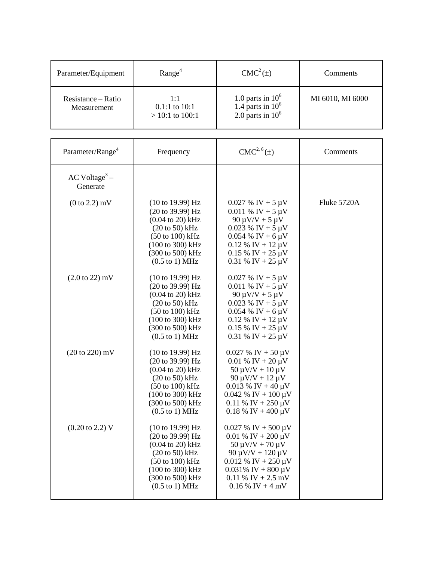| Parameter/Equipment               | Range <sup>4</sup>                           | $CMC2(\pm)$                                                       | Comments         |
|-----------------------------------|----------------------------------------------|-------------------------------------------------------------------|------------------|
| Resistance – Ratio<br>Measurement | 1:1<br>$0.1:1$ to $10:1$<br>$>10:1$ to 100:1 | 1.0 parts in $10^6$<br>1.4 parts in $10^6$<br>2.0 parts in $10^6$ | MI 6010, MI 6000 |

| Parameter/Range <sup>4</sup>            | Frequency                                                                                                                                                                                                                   | $CMC2, 6(\pm)$                                                                                                                                                                                         | Comments    |
|-----------------------------------------|-----------------------------------------------------------------------------------------------------------------------------------------------------------------------------------------------------------------------------|--------------------------------------------------------------------------------------------------------------------------------------------------------------------------------------------------------|-------------|
| $AC$ Voltage <sup>3</sup> –<br>Generate |                                                                                                                                                                                                                             |                                                                                                                                                                                                        |             |
| $(0 to 2.2)$ mV                         | (10 to 19.99) Hz<br>(20 to 39.99) Hz<br>$(0.04 \text{ to } 20) \text{ kHz}$<br>$(20 to 50)$ kHz<br>$(50 \text{ to } 100) \text{ kHz}$<br>(100 to 300) kHz<br>(300 to 500) kHz<br>$(0.5 \text{ to } 1) \text{ MHz}$          | $0.027 \%$ IV + 5 µV<br>$0.011 \%$ IV + 5 µV<br>90 $\mu$ V/V + 5 $\mu$ V<br>$0.023 \%$ IV + 5 µV<br>$0.054\%$ IV + 6 µV<br>$0.12 \%$ IV + 12 µV<br>$0.15 \%$ IV + 25 µV<br>$0.31 \%$ IV + 25 µV        | Fluke 5720A |
| $(2.0 \text{ to } 22) \text{ mV}$       | (10 to 19.99) Hz<br>(20 to 39.99) Hz<br>$(0.04 \text{ to } 20) \text{ kHz}$<br>$(20 to 50)$ kHz<br>$(50 \text{ to } 100) \text{ kHz}$<br>(100 to 300) kHz<br>(300 to 500) kHz<br>$(0.5 \text{ to } 1) \text{ MHz}$          | $0.027 \%$ IV + 5 µV<br>$0.011 \%$ IV + 5 µV<br>90 $\mu$ V/V + 5 $\mu$ V<br>$0.023 \%$ IV + 5 µV<br>$0.054$ % IV + 6 $\mu$ V<br>$0.12 \%$ IV + 12 µV<br>$0.15\%$ IV + 25 µV<br>$0.31 \%$ IV + 25 µV    |             |
| (20 to 220) mV                          | (10 to 19.99) Hz<br>(20 to 39.99) Hz<br>$(0.04 \text{ to } 20) \text{ kHz}$<br>$(20 \text{ to } 50)$ kHz<br>$(50 \text{ to } 100) \text{ kHz}$<br>(100 to 300) kHz<br>(300 to 500) kHz<br>$(0.5 \text{ to } 1) \text{ MHz}$ | $0.027 \%$ IV + 50 µV<br>$0.01 \%$ IV + 20 µV<br>$50 \mu V/V + 10 \mu V$<br>$90 \mu V/V + 12 \mu V$<br>$0.013 \%$ IV + 40 µV<br>$0.042 \%$ IV + 100 µV<br>$0.11\%$ IV + 250 µV<br>$0.18\%$ IV + 400 µV |             |
| $(0.20 \text{ to } 2.2) \text{ V}$      | (10 to 19.99) Hz<br>(20 to 39.99) Hz<br>$(0.04 \text{ to } 20) \text{ kHz}$<br>$(20 \text{ to } 50)$ kHz<br>$(50 \text{ to } 100) \text{ kHz}$<br>(100 to 300) kHz<br>(300 to 500) kHz<br>$(0.5 \text{ to } 1) \text{ MHz}$ | $0.027 \%$ IV + 500 µV<br>$0.01\%$ IV + 200 µV<br>$50 \mu V/V + 70 \mu V$<br>$90 \mu V/V + 120 \mu V$<br>$0.012\%$ IV + 250 µV<br>$0.031\%$ IV + 800 µV<br>$0.11\%$ IV + 2.5 mV<br>$0.16\%$ IV + 4 mV  |             |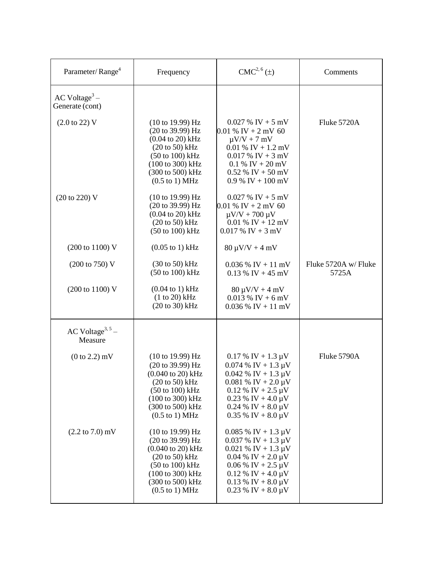| Parameter/Range <sup>4</sup>                   | Frequency                                                                                                                                                                                                                                                          | $CMC2, 6(\pm)$                                                                                                                                                                                     | Comments                      |
|------------------------------------------------|--------------------------------------------------------------------------------------------------------------------------------------------------------------------------------------------------------------------------------------------------------------------|----------------------------------------------------------------------------------------------------------------------------------------------------------------------------------------------------|-------------------------------|
| $AC$ Voltage <sup>3</sup> –<br>Generate (cont) |                                                                                                                                                                                                                                                                    |                                                                                                                                                                                                    |                               |
| $(2.0 \text{ to } 22) \text{ V}$               | $(10 \text{ to } 19.99)$ Hz<br>(20 to 39.99) Hz<br>$(0.04 \text{ to } 20) \text{ kHz}$<br>$(20 to 50)$ kHz<br>$(50 \text{ to } 100) \text{ kHz}$<br>(100 to 300) kHz<br>(300 to 500) kHz<br>$(0.5$ to 1) MHz                                                       | $0.027\%$ IV + 5 mV<br>$0.01\%$ IV + 2 mV 60<br>$\mu V/V + 7$ mV<br>$0.01\%$ IV + 1.2 mV<br>$0.017\%$ IV + 3 mV<br>$0.1\%$ IV + 20 mV<br>$0.52 \%$ IV + 50 mV<br>$0.9\%$ IV + 100 mV               | Fluke 5720A                   |
| (20 to 220) V                                  | $(10 \text{ to } 19.99) \text{ Hz}$<br>(20 to 39.99) Hz<br>$(0.04 \text{ to } 20) \text{ kHz}$<br>$(20 \text{ to } 50)$ kHz<br>(50 to 100) kHz                                                                                                                     | $0.027\%$ IV + 5 mV<br>$0.01\%$ IV + 2 mV 60<br>$\mu$ V/V + 700 $\mu$ V<br>$0.01\%$ IV + 12 mV<br>$0.017\%$ IV + 3 mV                                                                              |                               |
| (200 to 1100) V                                | $(0.05 \text{ to } 1) \text{ kHz}$                                                                                                                                                                                                                                 | $80 \mu V/V + 4 \ mV$                                                                                                                                                                              |                               |
| (200 to 750) V                                 | $(30 \text{ to } 50)$ kHz<br>(50 to 100) kHz                                                                                                                                                                                                                       | $0.036\%$ IV + 11 mV<br>$0.13\%$ IV + 45 mV                                                                                                                                                        | Fluke 5720A w/ Fluke<br>5725A |
| (200 to 1100) V                                | $(0.04 \text{ to } 1) \text{ kHz}$<br>$(1 to 20)$ kHz<br>(20 to 30) kHz                                                                                                                                                                                            | $80 \mu V/V + 4 \ mV$<br>$0.013\%$ IV + 6 mV<br>$0.036\%$ IV + 11 mV                                                                                                                               |                               |
| AC Voltage <sup>3, 5</sup> –<br>Measure        |                                                                                                                                                                                                                                                                    |                                                                                                                                                                                                    |                               |
| $(0 to 2.2)$ mV                                | $(10 \text{ to } 19.99) \text{ Hz}$<br>(20 to 39.99) Hz<br>$(0.040 \text{ to } 20) \text{ kHz}$<br>$(20 \text{ to } 50)$ kHz<br>$(50 \text{ to } 100) \text{ kHz}$<br>$(100 \text{ to } 300) \text{ kHz}$<br>(300 to 500) kHz<br>$(0.5 \text{ to } 1) \text{ MHz}$ | $0.17 \%$ IV + 1.3 µV<br>$0.074\%$ IV + 1.3 µV<br>$0.042 \%$ IV + 1.3 µV<br>$0.081\%$ IV + 2.0 µV<br>$0.12 \%$ IV + 2.5 µV<br>$0.23\%$ IV + 4.0 µV<br>$0.24\%$ IV + 8.0 µV<br>$0.35\%$ IV + 8.0 µV | Fluke 5790A                   |
| $(2.2 \text{ to } 7.0) \text{ mV}$             | $(10 \text{ to } 19.99)$ Hz<br>(20 to 39.99) Hz<br>$(0.040 \text{ to } 20) \text{ kHz}$<br>$(20 \text{ to } 50)$ kHz<br>$(50 \text{ to } 100) \text{ kHz}$<br>(100 to 300) kHz<br>(300 to 500) kHz<br>$(0.5 \text{ to } 1) \text{ MHz}$                            | $0.085\%$ IV + 1.3 µV<br>$0.037 \%$ IV + 1.3 µV<br>$0.021\%$ IV + 1.3 µV<br>$0.04\%$ IV + 2.0 µV<br>$0.06\%$ IV + 2.5 µV<br>$0.12 \%$ IV + 4.0 µV<br>$0.13\%$ IV + 8.0 µV<br>$0.23\%$ IV + 8.0 µV  |                               |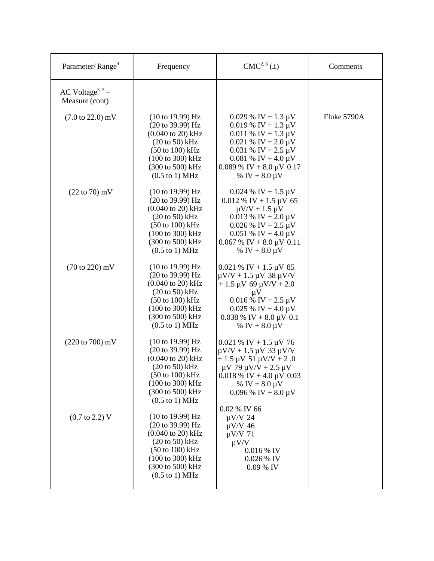| Parameter/Range <sup>4</sup>                   | Frequency                                                                                                                                                                                                                                                                             | $CMC2, 6(\pm)$                                                                                                                                                                                                                                                   | Comments    |
|------------------------------------------------|---------------------------------------------------------------------------------------------------------------------------------------------------------------------------------------------------------------------------------------------------------------------------------------|------------------------------------------------------------------------------------------------------------------------------------------------------------------------------------------------------------------------------------------------------------------|-------------|
| AC Voltage <sup>3, 5</sup> –<br>Measure (cont) |                                                                                                                                                                                                                                                                                       |                                                                                                                                                                                                                                                                  |             |
| $(7.0 \text{ to } 22.0) \text{ mV}$            | $(10 \text{ to } 19.99)$ Hz<br>$(20 \text{ to } 39.99) \text{ Hz}$<br>$(0.040 \text{ to } 20) \text{ kHz}$<br>$(20 to 50)$ kHz<br>$(50 \text{ to } 100) \text{ kHz}$<br>$(100 \text{ to } 300) \text{ kHz}$<br>(300 to 500) kHz<br>$(0.5 \text{ to } 1) \text{ MHz}$                  | $0.029$ % IV + 1.3 µV<br>$0.019 \% \text{ IV} + 1.3 \text{ }\mu\text{V}$<br>$0.011 \%$ IV + 1.3 µV<br>$0.021 \%$ IV + 2.0 µV<br>$0.031 \%$ IV + 2.5 µV<br>$0.081\%$ IV + 4.0 µV<br>$0.089\%$ IV + 8.0 µV 0.17<br>% IV + $8.0 \mu V$                              | Fluke 5790A |
| $(22 \text{ to } 70) \text{ mV}$               | $(10 \text{ to } 19.99)$ Hz<br>(20 to 39.99) Hz<br>$(0.040 \text{ to } 20) \text{ kHz}$<br>$(20 \text{ to } 50) \text{ kHz}$<br>$(50 \text{ to } 100) \text{ kHz}$<br>(100 to 300) kHz<br>(300 to 500) kHz<br>$(0.5 \text{ to } 1) \text{ MHz}$                                       | $0.024 \% \text{ IV} + 1.5 \text{ }\mu\text{V}$<br>$0.012 \%$ IV + 1.5 µV 65<br>$\mu$ V/V + 1.5 $\mu$ V<br>$0.013 \% \text{ IV} + 2.0 \text{ }\mu\text{V}$<br>$0.026$ % IV + 2.5 µV<br>$0.051\%$ IV + 4.0 µV<br>$0.067\%$ IV + 8.0 µV 0.11<br>% IV + $8.0 \mu V$ |             |
| $(70 \text{ to } 220) \text{ mV}$              | $(10 \text{ to } 19.99)$ Hz<br>(20 to 39.99) Hz<br>$(0.040 \text{ to } 20) \text{ kHz}$<br>$(20 \text{ to } 50) \text{ kHz}$<br>$(50 \text{ to } 100) \text{ kHz}$<br>$(100 \text{ to } 300) \text{ kHz}$<br>$(300 \text{ to } 500) \text{ kHz}$<br>$(0.5 \text{ to } 1) \text{ MHz}$ | $0.021 \%$ IV + 1.5 µV 85<br>$\mu$ V/V + 1.5 $\mu$ V 38 $\mu$ V/V<br>$+1.5 \mu V 69 \mu V/V + 2.0$<br>$\mu$ V<br>$0.016\%$ IV + 2.5 µV<br>$0.025\%$ IV + 4.0 µV<br>$0.038\%$ IV + 8.0 µV 0.1<br>% IV + $8.0 \mu V$                                               |             |
| (220 to 700) mV                                | (10 to 19.99) Hz<br>(20 to 39.99) Hz<br>$(0.040 \text{ to } 20) \text{ kHz}$<br>$(20 \text{ to } 50) \text{ kHz}$<br>(50 to 100) kHz<br>(100 to 300) kHz<br>(300 to 500) kHz<br>$(0.5 \text{ to } 1) \text{ MHz}$                                                                     | $0.021 \%$ IV + 1.5 µV 76<br>$\mu$ V/V + 1.5 $\mu$ V 33 $\mu$ V/V<br>$+1.5 \mu V 51 \mu V/V + 2.0$<br>$\mu$ V 79 $\mu$ V/V + 2.5 $\mu$ V<br>$0.018\%$ IV + 4.0 µV 0.03<br>% IV + $8.0 \mu V$<br>$0.096\%$ IV + 8.0 µV                                            |             |
| $(0.7 \text{ to } 2.2) \text{ V}$              | (10 to 19.99) Hz<br>(20 to 39.99) Hz<br>$(0.040 \text{ to } 20) \text{ kHz}$<br>$(20 to 50)$ kHz<br>$(50 \text{ to } 100) \text{ kHz}$<br>(100 to 300) kHz<br>(300 to 500) kHz<br>$(0.5 \text{ to } 1) \text{ MHz}$                                                                   | 0.02 % IV 66<br>$\mu$ V/V 24<br>$\mu$ V/V 46<br>$\mu$ V/V 71<br>$\mu V/V$<br>0.016 % IV<br>0.026 % IV<br>$0.09\%$ IV                                                                                                                                             |             |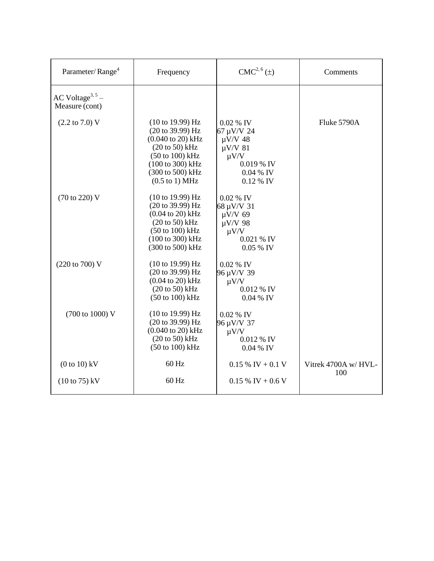| Parameter/Range <sup>4</sup>                   | Frequency                                                                                                                                                                                                                      | $CMC2, 6(\pm)$                                                                                                 | Comments                   |
|------------------------------------------------|--------------------------------------------------------------------------------------------------------------------------------------------------------------------------------------------------------------------------------|----------------------------------------------------------------------------------------------------------------|----------------------------|
| AC Voltage <sup>3, 5</sup> –<br>Measure (cont) |                                                                                                                                                                                                                                |                                                                                                                |                            |
| $(2.2 \text{ to } 7.0) \text{ V}$              | $(10 \text{ to } 19.99) \text{ Hz}$<br>(20 to 39.99) Hz<br>$(0.040 \text{ to } 20) \text{ kHz}$<br>$(20 \text{ to } 50)$ kHz<br>$(50 \text{ to } 100) \text{ kHz}$<br>(100 to 300) kHz<br>(300 to 500) kHz<br>$(0.5$ to 1) MHz | $0.02\%$ IV<br>67 µV/V 24<br>$\mu$ V/V 48<br>$\mu$ V/V 81<br>$\mu V/V$<br>0.019 % IV<br>0.04 % IV<br>0.12 % IV | Fluke 5790A                |
| (70 to 220) V                                  | (10 to 19.99) Hz<br>(20 to 39.99) Hz<br>$(0.04 \text{ to } 20) \text{ kHz}$<br>$(20 to 50)$ kHz<br>$(50 \text{ to } 100) \text{ kHz}$<br>(100 to 300) kHz<br>(300 to 500) kHz                                                  | 0.02 % IV<br>68 µV/V 31<br>$\mu$ V/V 69<br>$\mu$ V/V 98<br>$\mu V/V$<br>0.021 % IV<br>$0.05\%$ IV              |                            |
| (220 to 700) V                                 | (10 to 19.99) Hz<br>(20 to 39.99) Hz<br>$(0.04 \text{ to } 20) \text{ kHz}$<br>$(20 to 50)$ kHz<br>$(50 \text{ to } 100) \text{ kHz}$                                                                                          | $0.02\%$ IV<br>96 µV/V 39<br>$\mu V/V$<br>0.012 % IV<br>$0.04\%$ IV                                            |                            |
| (700 to 1000) V                                | $(10 \text{ to } 19.99) \text{ Hz}$<br>(20 to 39.99) Hz<br>$(0.040 \text{ to } 20) \text{ kHz}$<br>$(20 \text{ to } 50)$ kHz<br>$(50 \text{ to } 100) \text{ kHz}$                                                             | $0.02\%$ IV<br>96 µV/V 37<br>$\mu V/V$<br>0.012 % IV<br>$0.04\%$ IV                                            |                            |
| $(0 to 10)$ kV                                 | $60$ Hz                                                                                                                                                                                                                        | $0.15\%$ IV + 0.1 V                                                                                            | Vitrek 4700A w/HVL-<br>100 |
| $(10 \text{ to } 75) \text{ kV}$               | $60$ Hz                                                                                                                                                                                                                        | $0.15\%$ IV + 0.6 V                                                                                            |                            |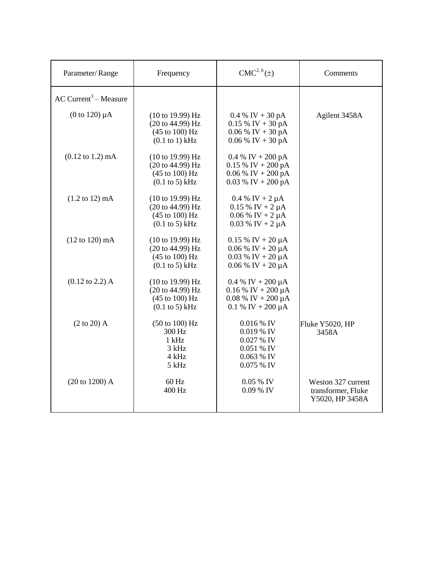| Parameter/Range                     | Frequency                                                                                                        | $CMC2, 6(\pm)$                                                                                  | Comments                                                    |
|-------------------------------------|------------------------------------------------------------------------------------------------------------------|-------------------------------------------------------------------------------------------------|-------------------------------------------------------------|
| AC Current <sup>3</sup> – Measure   |                                                                                                                  |                                                                                                 |                                                             |
| $(0 to 120) \mu A$                  | $(10 \text{ to } 19.99)$ Hz<br>(20 to 44.99) Hz<br>(45 to 100) Hz<br>$(0.1$ to 1) kHz                            | $0.4\%$ IV + 30 pA<br>$0.15\%$ IV + 30 pA<br>$0.06\%$ IV + 30 pA<br>$0.06\%$ IV + 30 pA         | Agilent 3458A                                               |
| $(0.12 \text{ to } 1.2) \text{ mA}$ | $(10 \text{ to } 19.99) \text{ Hz}$<br>(20 to 44.99) Hz<br>$(45 \text{ to } 100) \text{ Hz}$<br>$(0.1$ to 5) kHz | 0.4 % IV + 200 pA<br>$0.15\%$ IV + 200 pA<br>$0.06\%$ IV + 200 pA<br>$0.03\%$ IV + 200 pA       |                                                             |
| $(1.2 \text{ to } 12) \text{ mA}$   | (10 to 19.99) Hz<br>(20 to 44.99) Hz<br>$(45 \text{ to } 100) \text{ Hz}$<br>$(0.1$ to 5) kHz                    | $0.4 %$ IV + 2 $\mu$ A<br>$0.15\%$ IV + 2 µA<br>$0.06\%$ IV + 2 µA<br>$0.03 \%$ IV + 2 $\mu$ A  |                                                             |
| $(12 \text{ to } 120) \text{ mA}$   | (10 to 19.99) Hz<br>(20 to 44.99) Hz<br>(45 to 100) Hz<br>$(0.1$ to 5) kHz                                       | $0.15 \%$ IV + 20 µA<br>$0.06\%$ IV + 20 µA<br>$0.03 \%$ IV + 20 $\mu$ A<br>$0.06\%$ IV + 20 µA |                                                             |
| $(0.12 \text{ to } 2.2)$ A          | (10 to 19.99) Hz<br>(20 to 44.99) Hz<br>(45 to 100) Hz<br>$(0.1$ to 5) kHz                                       | $0.4 % IV + 200 µA$<br>$0.16\%$ IV + 200 µA<br>$0.08\%$ IV + 200 µA<br>$0.1 \%$ IV + 200 µA     |                                                             |
| $(2 \text{ to } 20)$ A              | (50 to 100) Hz<br>300 Hz<br>1 kHz<br>3 kHz<br>4 kHz<br>5 kHz                                                     | $0.016\%$ IV<br>$0.019\%$ IV<br>$0.027\%$ IV<br>0.051 % IV<br>$0.063\%$ IV<br>0.075 % IV        | Fluke Y5020, HP<br>3458A                                    |
| $(20 to 1200)$ A                    | $60$ Hz<br>400 Hz                                                                                                | $0.05\%$ IV<br>0.09 % IV                                                                        | Weston 327 current<br>transformer, Fluke<br>Y5020, HP 3458A |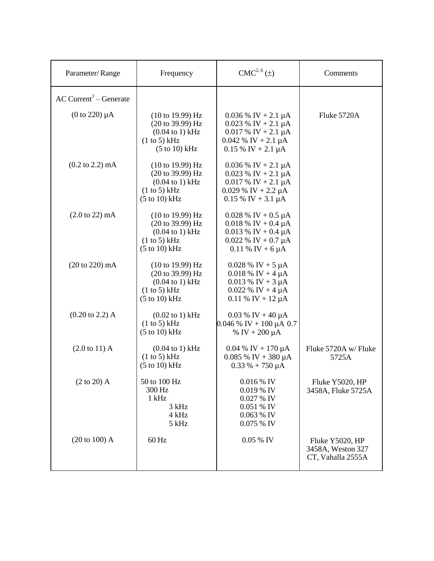| Parameter/Range                      | Frequency                                                                                                                                         | $CMC2, 6(\pm)$                                                                                                                                                                     | Comments                                                  |
|--------------------------------------|---------------------------------------------------------------------------------------------------------------------------------------------------|------------------------------------------------------------------------------------------------------------------------------------------------------------------------------------|-----------------------------------------------------------|
| $AC$ Current <sup>3</sup> – Generate |                                                                                                                                                   |                                                                                                                                                                                    |                                                           |
| $(0 \text{ to } 220) \mu A$          | $(10 \text{ to } 19.99) \text{ Hz}$<br>(20 to 39.99) Hz<br>$(0.04 \text{ to } 1) \text{ kHz}$<br>(1 to 5) kHz<br>$(5 to 10)$ kHz                  | $0.036\%$ IV + 2.1 µA<br>$0.023$ % IV + 2.1 µA<br>$0.017 \%$ IV + 2.1 µA<br>$0.042 \%$ IV + 2.1 µA<br>$0.15\%$ IV + 2.1 µA                                                         | Fluke 5720A                                               |
| $(0.2 \text{ to } 2.2) \text{ mA}$   | $(10 \text{ to } 19.99) \text{ Hz}$<br>(20 to 39.99) Hz<br>$(0.04 \text{ to } 1) \text{ kHz}$<br>(1 to 5) kHz<br>$(5 \text{ to } 10) \text{ kHz}$ | $0.036\%$ IV + 2.1 µA<br>$0.023$ % IV + 2.1 µA<br>$0.017 \%$ IV + 2.1 µA<br>$0.029$ % IV + 2.2 µA<br>$0.15\%$ IV + 3.1 µA                                                          |                                                           |
| $(2.0 \text{ to } 22) \text{ mA}$    | $(10 \text{ to } 19.99)$ Hz<br>(20 to 39.99) Hz<br>$(0.04 \text{ to } 1) \text{ kHz}$<br>(1 to 5) kHz<br>$(5 to 10)$ kHz                          | $0.028 \% \text{ IV} + 0.5 \mu\text{A}$<br>$0.018\%$ IV + 0.4 µA<br>$0.013 \% \text{ IV} + 0.4 \mu\text{A}$<br>$0.022 \% \text{ IV} + 0.7 \mu\text{A}$<br>$0.11 \%$ IV + 6 $\mu$ A |                                                           |
| $(20 \text{ to } 220) \text{ mA}$    | $(10 \text{ to } 19.99) \text{ Hz}$<br>(20 to 39.99) Hz<br>$(0.04 \text{ to } 1) \text{ kHz}$<br>(1 to 5) kHz<br>$(5 to 10)$ kHz                  | $0.028 \%$ IV + 5 µA<br>$0.018 \%$ IV + 4 µA<br>$0.013 \%$ IV + 3 µA<br>$0.022 \%$ IV + 4 µA<br>$0.11 \%$ IV + 12 µA                                                               |                                                           |
| $(0.20 \text{ to } 2.2)$ A           | $(0.02 \text{ to } 1) \text{ kHz}$<br>(1 to 5) kHz<br>$(5 to 10)$ kHz                                                                             | $0.03 \%$ IV + 40 µA<br>$0.046\%$ IV + 100 µA 0.7<br>% IV + $200 \mu A$                                                                                                            |                                                           |
| $(2.0 \text{ to } 11)$ A             | $(0.04 \text{ to } 1) \text{ kHz}$<br>(1 to 5) kHz<br>$(5 to 10)$ kHz                                                                             | $0.04\%$ IV + 170 µA<br>$0.085\%$ IV + 380 µA<br>$0.33\% + 750 \mu A$                                                                                                              | Fluke 5720A w/Fluke<br>5725A                              |
| $(2 \text{ to } 20)$ A               | 50 to 100 Hz<br>300 Hz<br>$1$ kHz<br>3 kHz<br>4 kHz<br>5 kHz                                                                                      | 0.016 % IV<br>0.019 % IV<br>0.027 % IV<br>0.051 % IV<br>0.063 % IV<br>0.075 % IV                                                                                                   | Fluke Y5020, HP<br>3458A, Fluke 5725A                     |
| (20 to 100) A                        | 60 Hz                                                                                                                                             | 0.05 % IV                                                                                                                                                                          | Fluke Y5020, HP<br>3458A, Weston 327<br>CT, Vahalla 2555A |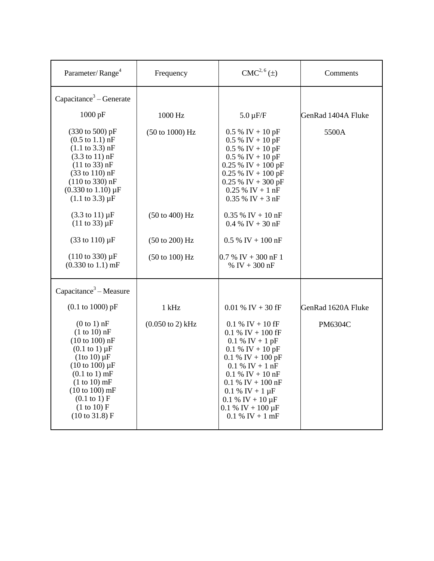| Parameter/Range <sup>4</sup>                                                                                                                                                                                                                                                                      | Frequency                           | $CMC2, 6(\pm)$                                                                                                                                                                                                                                                                     | Comments           |
|---------------------------------------------------------------------------------------------------------------------------------------------------------------------------------------------------------------------------------------------------------------------------------------------------|-------------------------------------|------------------------------------------------------------------------------------------------------------------------------------------------------------------------------------------------------------------------------------------------------------------------------------|--------------------|
| Capacitance <sup>3</sup> – Generate                                                                                                                                                                                                                                                               |                                     |                                                                                                                                                                                                                                                                                    |                    |
| 1000 pF                                                                                                                                                                                                                                                                                           | 1000 Hz                             | $5.0 \mu F/F$                                                                                                                                                                                                                                                                      | GenRad 1404A Fluke |
| (330 to 500) pF<br>$(0.5 \text{ to } 1.1) \text{ nF}$<br>$(1.1 \text{ to } 3.3) \text{ nF}$<br>$(3.3 \text{ to } 11) \text{ nF}$<br>(11 to 33) nF<br>$(33 \text{ to } 110) \text{ nF}$<br>$(110 \text{ to } 330) \text{ nF}$<br>$(0.330 \text{ to } 1.10) \mu F$<br>$(1.1 \text{ to } 3.3) \mu F$ | (50 to 1000) Hz                     | $0.5\%$ IV + 10 pF<br>$0.5\%$ IV + 10 pF<br>$0.5\%$ IV + 10 pF<br>$0.5\%$ IV + 10 pF<br>$0.25\%$ IV + 100 pF<br>$0.25\%$ IV + 100 pF<br>$0.25\%$ IV + 300 pF<br>$0.25\%$ IV + 1 nF<br>$0.35\%$ IV + 3 nF                                                                           | 5500A              |
| $(3.3 \text{ to } 11) \mu F$<br>$(11 \text{ to } 33) \mu F$                                                                                                                                                                                                                                       | $(50 \text{ to } 400) \text{ Hz}$   | $0.35\%$ IV + 10 nF<br>$0.4\%$ IV + 30 nF                                                                                                                                                                                                                                          |                    |
| $(33 \text{ to } 110) \,\mu\text{F}$                                                                                                                                                                                                                                                              | $(50 \text{ to } 200)$ Hz           | $0.5\%$ IV + 100 nF                                                                                                                                                                                                                                                                |                    |
| $(110 \text{ to } 330) \mu F$<br>$(0.330 \text{ to } 1.1) \text{ mF}$                                                                                                                                                                                                                             | (50 to 100) Hz                      | $0.7\%$ IV + 300 nF 1<br>% IV + 300 nF                                                                                                                                                                                                                                             |                    |
| Capacitance <sup>3</sup> – Measure                                                                                                                                                                                                                                                                |                                     |                                                                                                                                                                                                                                                                                    |                    |
| $(0.1 \text{ to } 1000) \text{ pF}$                                                                                                                                                                                                                                                               | 1 kHz                               | $0.01\%$ IV + 30 fF                                                                                                                                                                                                                                                                | GenRad 1620A Fluke |
| $(0 to 1)$ nF<br>$(1 to 10)$ nF<br>$(10 to 100)$ nF<br>$(0.1 \text{ to } 1) \mu F$<br>$(1$ to 10) $\mu$ F<br>$(10 \text{ to } 100) \mu F$<br>$(0.1$ to 1) mF<br>$(1 to 10)$ mF<br>$(10 to 100)$ mF<br>$(0.1 \text{ to } 1) F$<br>(1 to 10) F<br>(10 to 31.8) F                                    | $(0.050 \text{ to } 2) \text{ kHz}$ | $0.1\%$ IV + 10 fF<br>$0.1\%$ IV + 100 fF<br>$0.1 \% IV + 1 pF$<br>$0.1 \%$ IV + 10 pF<br>$0.1\%$ IV + 100 pF<br>$0.1 \% IV + 1 nF$<br>$0.1 %$ IV + 10 nF<br>$0.1\%$ IV + 100 nF<br>$0.1 \% IV + 1 \mu F$<br>$0.1 \%$ IV + 10 $\mu$ F<br>$0.1\%$ IV + 100 µF<br>$0.1 \% IV + 1 mF$ | PM6304C            |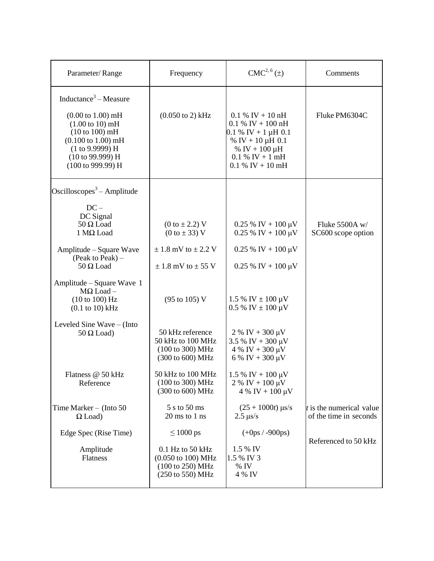| Parameter/Range                                                                                                                                                                                                                                           | Frequency                                                                                                                                  | CMC <sup>2, 6</sup> (±)                                                                                                                                                         | Comments                                             |
|-----------------------------------------------------------------------------------------------------------------------------------------------------------------------------------------------------------------------------------------------------------|--------------------------------------------------------------------------------------------------------------------------------------------|---------------------------------------------------------------------------------------------------------------------------------------------------------------------------------|------------------------------------------------------|
| Inductance <sup>3</sup> – Measure<br>$(0.00 \text{ to } 1.00) \text{ mH}$<br>$(1.00 \text{ to } 10) \text{ mH}$<br>(10 to 100) mH<br>$(0.100 \text{ to } 1.00) \text{ mH}$<br>(1 to 9.9999) H<br>$(10 \text{ to } 99.999) \text{ H}$<br>(100 to 999.99) H | $(0.050 \text{ to } 2) \text{ kHz}$                                                                                                        | $0.1\%$ IV + 10 nH<br>$0.1\%$ IV + 100 nH<br>$0.1\%$ IV + 1 µH 0.1<br>% IV + 10 $\mu$ H 0.1<br>% IV + $100 \mu H$<br>$0.1 %$ IV + 1 mH<br>$0.1\%$ IV + 10 mH                    | Fluke PM6304C                                        |
| Oscilloscopes <sup>3</sup> – Amplitude<br>$DC -$<br>DC Signal<br>$50 \Omega$ Load<br>1 MΩ Load<br>Amplitude – Square Wave<br>(Peak to Peak) $-$                                                                                                           | (0 to ± 2.2) V<br>(0 to ± 33) V<br>$\pm$ 1.8 mV to $\pm$ 2.2 V                                                                             | $0.25\%$ IV + 100 µV<br>$0.25\%$ IV + 100 µV<br>$0.25\%$ IV + 100 µV                                                                                                            | Fluke 5500A w/<br>SC600 scope option                 |
| $50 \Omega$ Load<br>Amplitude – Square Wave 1<br>$M\Omega$ Load -<br>(10 to 100) Hz<br>$(0.1$ to $10)$ kHz<br>Leveled Sine Wave – (Into                                                                                                                   | $\pm$ 1.8 mV to $\pm$ 55 V<br>(95 to 105) V                                                                                                | $0.25\%$ IV + 100 µV<br>$1.5\%$ IV $\pm$ 100 µV<br>$0.5\%$ IV $\pm 100 \mu V$                                                                                                   |                                                      |
| $50 \Omega$ Load)<br>Flatness @ 50 kHz<br>Reference                                                                                                                                                                                                       | 50 kHz reference<br>50 kHz to 100 MHz<br>(100 to 300) MHz<br>(300 to 600) MHz<br>50 kHz to 100 MHz<br>(100 to 300) MHz<br>(300 to 600) MHz | $2\%$ IV + 300 $\mu$ V<br>$3.5\%$ IV + 300 µV<br>$4\%$ IV + 300 $\mu$ V<br>6 % IV + 300 $\mu$ V<br>$1.5\%$ IV + 100 $\mu$ V<br>$2\%$ IV + 100 $\mu$ V<br>$4\%$ IV + 100 $\mu$ V |                                                      |
| Time Marker $-$ (Into 50)<br>$\Omega$ Load)<br>Edge Spec (Rise Time)                                                                                                                                                                                      | 5 s to 50 ms<br>$20 \text{ ms}$ to $1 \text{ ns}$<br>$\leq 1000$ ps                                                                        | $(25 + 1000t)$ µs/s<br>$2.5 \ \mu s/s$<br>$(+0 ps / -900 ps)$                                                                                                                   | $t$ is the numerical value<br>of the time in seconds |
| Amplitude<br>Flatness                                                                                                                                                                                                                                     | $0.1$ Hz to 50 kHz<br>$(0.050 \text{ to } 100) \text{ MHz}$<br>(100 to 250) MHz<br>$(250 \text{ to } 550) \text{ MHz}$                     | 1.5 % IV<br>1.5 % IV 3<br>$%$ IV<br>4 % IV                                                                                                                                      | Referenced to 50 kHz                                 |